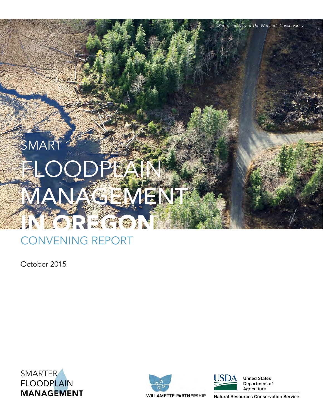# SMAR FLOODPLAI **ANAGEMENT** IN **ZOREGO**N

# CONVENING REPORT

October 2015

SMARTER **FLOODPLAIN MANAGEMENT** 





**United States** Department of Agriculture

*Photo courtesy of The Wetlands Conservancy*

**WILLAMETTE PARTNERSHIP** 

**Natural Resources Conservation Service**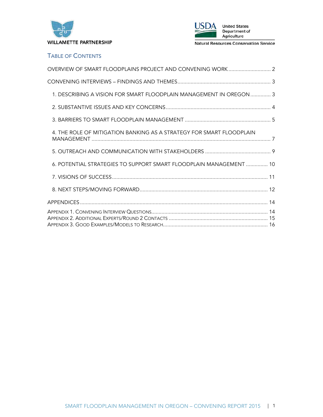



# TABLE OF CONTENTS

| 1. DESCRIBING A VISION FOR SMART FLOODPLAIN MANAGEMENT IN OREGON 3   |
|----------------------------------------------------------------------|
|                                                                      |
|                                                                      |
| 4. THE ROLE OF MITIGATION BANKING AS A STRATEGY FOR SMART FLOODPLAIN |
|                                                                      |
| 6. POTENTIAL STRATEGIES TO SUPPORT SMART FLOODPLAIN MANAGEMENT  10   |
|                                                                      |
|                                                                      |
|                                                                      |
|                                                                      |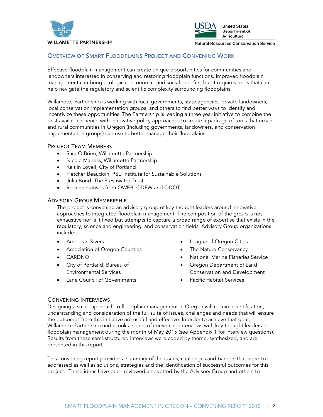



# OVERVIEW OF SMART FLOODPLAINS PROJECT AND CONVENING WORK

Effective floodplain management can create unique opportunities for communities and landowners interested in conserving and restoring floodplain functions. Improved floodplain management can bring ecological, economic, and social benefits, but it requires tools that can help navigate the regulatory and scientific complexity surrounding floodplains.

Willamette Partnership is working with local governments, state agencies, private landowners, local conservation implementation groups, and others to find better ways to identify and incentivize these opportunities. The Partnership is leading a three year initiative to combine the best available science with innovative policy approaches to create a package of tools that urban and rural communities in Oregon (including governments, landowners, and conservation implementation groups) can use to better manage their floodplains.

#### PROJECT TEAM MEMBERS

- Sara O'Brien, Willamette Partnership
- Nicole Maness, Willamette Partnership
- Kaitlin Lovell, City of Portland
- Fletcher Beaudoin, PSU Institute for Sustainable Solutions
- Julia Bond, The Freshwater Trust
- Representatives from OWEB, ODFW and ODOT

#### ADVISORY GROUP MEMBERSHIP

The project is convening an advisory group of key thought leaders around innovative approaches to integrated floodplain management. The composition of the group is not exhaustive nor is it fixed but attempts to capture a broad range of expertise that exists in the regulatory, science and engineering, and conservation fields. Advisory Group organizations include:

- American Rivers
- Association of Oregon Counties
- CARDNO
- City of Portland, Bureau of Environmental Services
- **Lane Council of Governments**
- League of Oregon Cities
- The Nature Conservancy
- National Marine Fisheries Service
- Oregon Department of Land Conservation and Development
- Pacific Habitat Services

#### CONVENING INTERVIEWS

Designing a smart approach to floodplain management in Oregon will require identification, understanding and consideration of the full suite of issues, challenges and needs that will ensure the outcomes from this initiative are useful and effective. In order to achieve that goal, Willamette Partnership undertook a series of convening interviews with key thought leaders in floodplain management during the month of May 2015 (see Appendix 1 for interview questions). Results from these semi-structured interviews were coded by theme, synthesized, and are presented in this report.

This convening report provides a summary of the issues, challenges and barriers that need to be addressed as well as solutions, strategies and the identification of successful outcomes for this project. These ideas have been reviewed and vetted by the Advisory Group and others to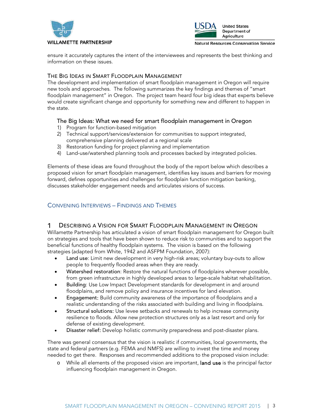



ensure it accurately captures the intent of the interviewees and represents the best thinking and information on these issues.

#### THE BIG IDEAS IN SMART FLOODPLAIN MANAGEMENT

The development and implementation of smart floodplain management in Oregon will require new tools and approaches. The following summarizes the key findings and themes of "smart floodplain management" in Oregon. The project team heard four big ideas that experts believe would create significant change and opportunity for something new and different to happen in the state.

### The Big Ideas: What we need for smart floodplain management in Oregon

- 1) Program for function-based mitigation
- 2) Technical support/services/extension for communities to support integrated, comprehensive planning delivered at a regional scale
- 3) Restoration funding for project planning and implementation
- 4) Land-use/watershed planning tools and processes backed by integrated policies.

Elements of these ideas are found throughout the body of the report below which describes a proposed vision for smart floodplain management, identifies key issues and barriers for moving forward, defines opportunities and challenges for floodplain function mitigation banking, discusses stakeholder engagement needs and articulates visions of success.

## CONVENING INTERVIEWS – FINDINGS AND THEMES

#### 1 DESCRIBING A VISION FOR SMART FLOODPLAIN MANAGEMENT IN OREGON

Willamette Partnership has articulated a vision of smart floodplain management for Oregon built on strategies and tools that have been shown to reduce risk to communities and to support the beneficial functions of healthy floodplain systems. The vision is based on the following strategies (adapted from White, 1942 and ASFPM Foundation, 2007):

- Land use: Limit new development in very high-risk areas; voluntary buy-outs to allow people to frequently flooded areas when they are ready.
- Watershed restoration: Restore the natural functions of floodplains wherever possible, from green infrastructure in highly developed areas to large-scale habitat rehabilitation.
- Building: Use Low Impact Development standards for development in and around floodplains, and remove policy and insurance incentives for land elevation.
- Engagement: Build community awareness of the importance of floodplains and a realistic understanding of the risks associated with building and living in floodplains.
- Structural solutions: Use levee setbacks and renewals to help increase community resilience to floods. Allow new protection structures only as a last resort and only for defense of existing development.
- Disaster relief: Develop holistic community preparedness and post-disaster plans.

There was general consensus that the vision is realistic if communities, local governments, the state and federal partners (e.g. FEMA and NMFS) are willing to invest the time and money needed to get there. Responses and recommended additions to the proposed vision include:

o While all elements of the proposed vision are important, land use is the principal factor influencing floodplain management in Oregon.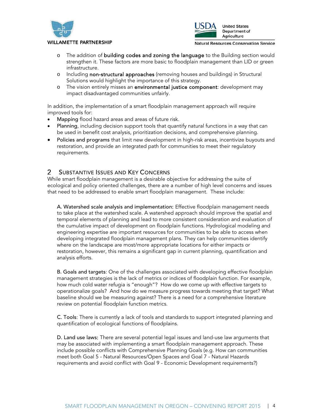





Department of Agriculture

Natural Resources Conservation Service

- o The addition of building codes and zoning the language to the Building section would strengthen it. These factors are more basic to floodplain management than LID or green infrastructure.
- o Including non-structural approaches (removing houses and buildings) in Structural Solutions would highlight the importance of this strategy.
- o The vision entirely misses an environmental justice component: development may impact disadvantaged communities unfairly.

In addition, the implementation of a smart floodplain management approach will require improved tools for:

- Mapping flood hazard areas and areas of future risk.
- Planning, including decision support tools that quantify natural functions in a way that can be used in benefit cost analysis, prioritization decisions, and comprehensive planning.
- Policies and programs that limit new development in high-risk areas, incentivize buyouts and restoration, and provide an integrated path for communities to meet their regulatory requirements.

#### SUBSTANTIVE ISSUES AND KEY CONCERNS  $\overline{2}$

While smart floodplain management is a desirable objective for addressing the suite of ecological and policy oriented challenges, there are a number of high level concerns and issues that need to be addressed to enable smart floodplain management. These include:

A. Watershed scale analysis and implementation: Effective floodplain management needs to take place at the watershed scale. A watershed approach should improve the spatial and temporal elements of planning and lead to more consistent consideration and evaluation of the cumulative impact of development on floodplain functions. Hydrological modeling and engineering expertise are important resources for communities to be able to access when developing integrated floodplain management plans. They can help communities identify where on the landscape are most/more appropriate locations for either impacts or restoration, however, this remains a significant gap in current planning, quantification and analysis efforts.

B. Goals and targets: One of the challenges associated with developing effective floodplain management strategies is the lack of metrics or indices of floodplain function. For example, how much cold water refugia is "enough"? How do we come up with effective targets to operationalize goals? And how do we measure progress towards meeting that target? What baseline should we be measuring against? There is a need for a comprehensive literature review on potential floodplain function metrics.

C. Tools: There is currently a lack of tools and standards to support integrated planning and quantification of ecological functions of floodplains.

D. Land use laws: There are several potential legal issues and land-use law arguments that may be associated with implementing a smart floodplain management approach. These include possible conflicts with Comprehensive Planning Goals (e.g. How can communities meet both Goal 5 - Natural Resources/Open Spaces and Goal 7 - Natural Hazards requirements and avoid conflict with Goal 9 - Economic Development requirements?)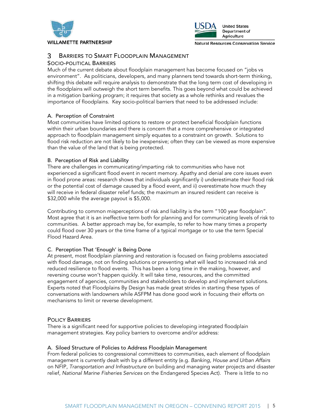



#### 3 BARRIERS TO SMART FLOODPLAIN MANAGEMENT

 $\mathbf{r}$ 

#### SOCIO-POLITICAL BARRIERS

Much of the current debate about floodplain management has become focused on "jobs vs environment". As politicians, developers, and many planners tend towards short-term thinking, shifting this debate will require analysis to demonstrate that the long term cost of developing in the floodplains will outweigh the short term benefits. This goes beyond what could be achieved in a mitigation banking program; it requires that society as a whole rethinks and revalues the importance of floodplains. Key socio-political barriers that need to be addressed include:

#### A. Perception of Constraint

Most communities have limited options to restore or protect beneficial floodplain functions within their urban boundaries and there is concern that a more comprehensive or integrated approach to floodplain management simply equates to a constraint on growth. Solutions to flood risk reduction are not likely to be inexpensive; often they can be viewed as more expensive than the value of the land that is being protected.

#### B. Perception of Risk and Liability

There are challenges in communicating/imparting risk to communities who have not experienced a significant flood event in recent memory. Apathy and denial are core issues even in flood prone areas: research shows that individuals significantly i) underestimate their flood risk or the potential cost of damage caused by a flood event, and ii) overestimate how much they will receive in federal disaster relief funds; the maximum an insured resident can receive is \$32,000 while the average payout is \$5,000.

Contributing to common misperceptions of risk and liability is the term "100 year floodplain". Most agree that it is an ineffective term both for planning and for communicating levels of risk to communities. A better approach may be, for example, to refer to how many times a property could flood over 30 years or the time frame of a typical mortgage or to use the term Special Flood Hazard Area.

#### C. Perception That 'Enough' is Being Done

At present, most floodplain planning and restoration is focused on fixing problems associated with flood damage, not on finding solutions or preventing what will lead to increased risk and reduced resilience to flood events. This has been a long time in the making, however, and reversing course won't happen quickly. It will take time, resources, and the committed engagement of agencies, communities and stakeholders to develop and implement solutions. Experts noted that Floodplains By Design has made great strides in starting these types of conversations with landowners while ASFPM has done good work in focusing their efforts on mechanisms to limit or reverse development.

#### POLICY BARRIERS

There is a significant need for supportive policies to developing integrated floodplain management strategies. Key policy barriers to overcome and/or address:

#### A. Siloed Structure of Policies to Address Floodplain Management

From federal policies to congressional committees to communities, each element of floodplain management is currently dealt with by a different entity (e.g. *Banking, House and Urban Affairs*  on NFIP, *Transportation and Infrastructure* on building and managing water projects and disaster relief, *National Marine Fisheries Services* on the Endangered Species Act). There is little to no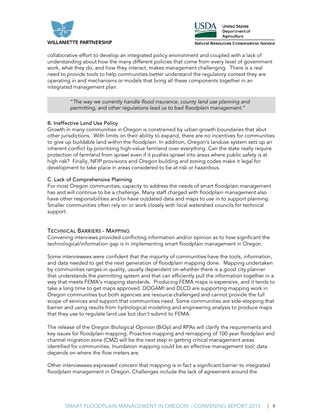



Natural Resources Conservation Service

collaborative effort to develop an integrated policy environment and coupled with a lack of understanding about how the many different policies that come from every level of government work, what they do, and how they interact, makes management challenging. There is a real need to provide tools to help communities better understand the regulatory context they are operating in and mechanisms or models that bring all these components together in an integrated management plan.

"*The way we currently handle flood insurance, county land use planning and permitting, and other regulations lead us to bad floodplain management*."

#### B. Ineffective Land Use Policy

Growth in many communities in Oregon is constrained by urban growth boundaries that abut other jurisdictions. With limits on their ability to expand, there are no incentives for communities to give up buildable land within the floodplain. In addition, Oregon's landuse system sets up an inherent conflict by prioritizing high-value farmland over everything. Can the state really require protection of farmland from sprawl even if it pushes sprawl into areas where public safety is at high risk? Finally, NFIP provisions and Oregon building and zoning codes make it legal for development to take place in areas considered to be at risk or hazardous.

#### C. Lack of Comprehensive Planning

For most Oregon communities, capacity to address the needs of smart floodplain management has and will continue to be a challenge. Many staff charged with floodplain management also have other responsibilities and/or have outdated data and maps to use in to support planning. Smaller communities often rely on or work closely with local watershed councils for technical support.

#### TECHNICAL BARRIERS - MAPPING

Convening interviews provided conflicting information and/or opinion as to how significant the technological/information gap is in implementing smart floodplain management in Oregon.

Some interviewees were confident that the majority of communities have the tools, information, and data needed to get the next generation of floodplain mapping done. Mapping undertaken by communities ranges in quality, usually dependent on whether there is a good city planner that understands the permitting system and that can efficiently pull the information together in a way that meets FEMA's mapping standards. Producing FEMA maps is expensive, and it tends to take a long time to get maps approved. DOGAMI and DLCD are supporting mapping work in Oregon communities but both agencies are resource-challenged and cannot provide the full scope of services and support that communities need. Some communities are side-stepping that barrier and using results from hydrological modeling and engineering analysis to produce maps that they use to regulate land use but don't submit to FEMA.

The release of the Oregon Biological Opinion (BiOp) and RPAs will clarify the requirements and key issues for floodplain mapping. Proactive mapping and remapping of 100 year floodplain and channel migration zone (CMZ) will be the next step in getting critical management areas identified for communities. Inundation mapping could be an effective management tool; data depends on where the flow meters are.

Other interviewees expressed concern that mapping is in fact a significant barrier to integrated floodplain management in Oregon. Challenges include the lack of agreement around the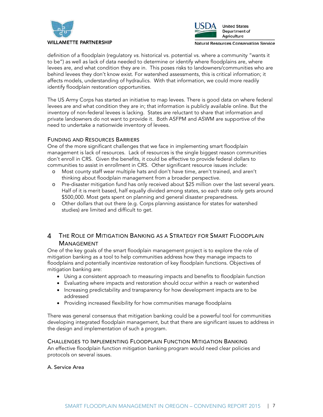



Natural Resources Conservation Service

definition of a floodplain (regulatory *vs.* historical vs. potential vs. where a community "wants it to be") as well as lack of data needed to determine or identify where floodplains are, where levees are, and what condition they are in. This poses risks to landowners/communities who are behind levees they don't know exist. For watershed assessments, this is critical information; it affects models, understanding of hydraulics. With that information, we could more readily identify floodplain restoration opportunities.

The US Army Corps has started an initiative to map levees. There is good data on where federal levees are and what condition they are in; that information is publicly available online. But the inventory of non-federal levees is lacking. States are reluctant to share that information and private landowners do not want to provide it. Both ASFPM and ASWM are supportive of the need to undertake a nationwide inventory of levees.

#### FUNDING AND RESOURCES BARRIERS

One of the more significant challenges that we face in implementing smart floodplain management is lack of resources. Lack of resources is the single biggest reason communities don't enroll in CRS. Given the benefits, it could be effective to provide federal dollars to communities to assist in enrollment in CRS. Other significant resource issues include:

- Most county staff wear multiple hats and don't have time, aren't trained, and aren't thinking about floodplain management from a broader perspective.
- o Pre-disaster mitigation fund has only received about \$25 million over the last several years. Half of it is merit based, half equally divided among states, so each state only gets around \$500,000. Most gets spent on planning and general disaster preparedness.
- o Other dollars that out there (e.g. Corps planning assistance for states for watershed studies) are limited and difficult to get.

#### THE ROLE OF MITIGATION BANKING AS A STRATEGY FOR SMART FLOODPLAIN 4 MANAGEMENT

One of the key goals of the smart floodplain management project is to explore the role of mitigation banking as a tool to help communities address how they manage impacts to floodplains and potentially incentivize restoration of key floodplain functions. Objectives of mitigation banking are:

- Using a consistent approach to measuring impacts and benefits to floodplain function
- Evaluating where impacts and restoration should occur within a reach or watershed
- Increasing predictability and transparency for how development impacts are to be addressed
- Providing increased flexibility for how communities manage floodplains

There was general consensus that mitigation banking could be a powerful tool for communities developing integrated floodplain management, but that there are significant issues to address in the design and implementation of such a program.

#### CHALLENGES TO IMPLEMENTING FLOODPLAIN FUNCTION MITIGATION BANKING

An effective floodplain function mitigation banking program would need clear policies and protocols on several issues.

#### A. Service Area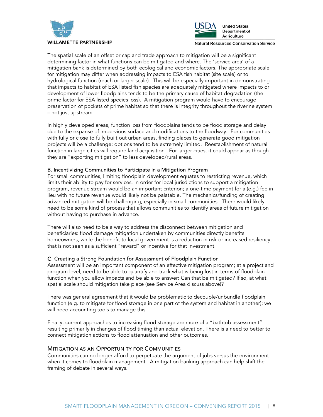



Natural Resources Conservation Service

The spatial scale of an offset or cap and trade approach to mitigation will be a significant determining factor in what functions can be mitigated and where. The 'service area' of a mitigation bank is determined by both ecological and economic factors. The appropriate scale for mitigation may differ when addressing impacts to ESA fish habitat (site scale) or to hydrological function (reach or larger scale). This will be especially important in demonstrating that impacts to habitat of ESA listed fish species are adequately mitigated where impacts to or development of lower floodplains tends to be the primary cause of habitat degradation (the prime factor for ESA listed species loss). A mitigation program would have to encourage preservation of pockets of prime habitat so that there is integrity throughout the riverine system – not just upstream.

In highly developed areas, function loss from floodplains tends to be flood storage and delay due to the expanse of impervious surface and modifications to the floodway. For communities with fully or close to fully built out urban areas, finding places to generate good mitigation projects will be a challenge; options tend to be extremely limited. Reestablishment of natural function in large cities will require land acquisition. For larger cities, it could appear as though they are "exporting mitigation" to less developed/rural areas.

#### B. Incentivizing Communities to Participate in a Mitigation Program

For small communities, limiting floodplain development equates to restricting revenue, which limits their ability to pay for services. In order for local jurisdictions to support a mitigation program, revenue stream would be an important criterion; a one-time payment for a (e.g.) fee in lieu with no future revenue would likely not be palatable. The mechanics/funding of creating advanced mitigation will be challenging, especially in small communities. There would likely need to be some kind of process that allows communities to identify areas of future mitigation without having to purchase in advance.

There will also need to be a way to address the disconnect between mitigation and beneficiaries: flood damage mitigation undertaken by communities directly benefits homeowners, while the benefit to local government is a reduction in risk or increased resiliency, that is not seen as a sufficient "reward" or incentive for that investment.

#### C. Creating a Strong Foundation for Assessment of Floodplain Function

Assessment will be an important component of an effective mitigation program; at a project and program level, need to be able to quantify and track what is being lost in terms of floodplain function when you allow impacts and be able to answer: Can that be mitigated? If so, at what spatial scale should mitigation take place (see Service Area discuss above)?

There was general agreement that it would be problematic to decouple/unbundle floodplain function (e.g. to mitigate for flood storage in one part of the system and habitat in another); we will need accounting tools to manage this.

Finally, current approaches to increasing flood storage are more of a "bathtub assessment" resulting primarily in changes of flood timing than actual elevation. There is a need to better to connect mitigation actions to flood attenuation and other outcomes.

#### MITIGATION AS AN OPPORTUNITY FOR COMMUNITIES

Communities can no longer afford to perpetuate the argument of jobs versus the environment when it comes to floodplain management. A mitigation banking approach can help shift the framing of debate in several ways.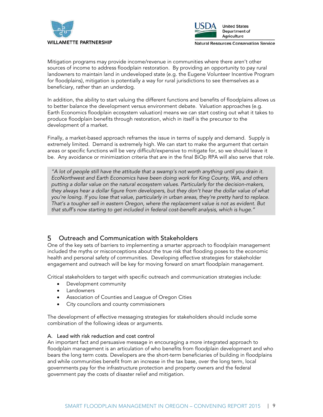



Mitigation programs may provide income/revenue in communities where there aren't other sources of income to address floodplain restoration. By providing an opportunity to pay rural landowners to maintain land in undeveloped state (e.g. the Eugene Volunteer Incentive Program for floodplains), mitigation is potentially a way for rural jurisdictions to see themselves as a beneficiary, rather than an underdog.

In addition, the ability to start valuing the different functions and benefits of floodplains allows us to better balance the development versus environment debate. Valuation approaches (e.g. Earth Economics floodplain ecosystem valuation) means we can start costing out what it takes to produce floodplain benefits through restoration, which in itself is the precursor to the development of a market.

Finally, a market-based approach reframes the issue in terms of supply and demand. Supply is extremely limited. Demand is extremely high. We can start to make the argument that certain areas or specific functions will be very difficult/expensive to mitigate for, so we should leave it be. Any avoidance or minimization criteria that are in the final BiOp RPA will also serve that role.

*"A lot of people still have the attitude that a swamp's not worth anything until you drain it. EcoNorthwest and Earth Economics have been doing work for King County, WA, and others putting a dollar value on the natural ecosystem values. Particularly for the decision-makers, they always hear a dollar figure from developers, but they don't hear the dollar value of what you're losing. If you lose that value, particularly in urban areas, they're pretty hard to replace. That's a tougher sell in eastern Oregon, where the replacement value is not as evident. But that stuff's now starting to get included in federal cost-benefit analysis, which is huge."* 

#### Outreach and Communication with Stakeholders 5

One of the key sets of barriers to implementing a smarter approach to floodplain management included the myths or misconceptions about the true risk that flooding poses to the economic health and personal safety of communities. Developing effective strategies for stakeholder engagement and outreach will be key for moving forward on smart floodplain management.

Critical stakeholders to target with specific outreach and communication strategies include:

- Development community
- **Landowners**
- Association of Counties and League of Oregon Cities
- City councilors and county commissioners

The development of effective messaging strategies for stakeholders should include some combination of the following ideas or arguments.

#### A. Lead with risk reduction and cost control

An important fact and persuasive message in encouraging a more integrated approach to floodplain management is an articulation of who benefits from floodplain development and who bears the long term costs. Developers are the short-term beneficiaries of building in floodplains and while communities benefit from an increase in the tax base, over the long term, local governments pay for the infrastructure protection and property owners and the federal government pay the costs of disaster relief and mitigation.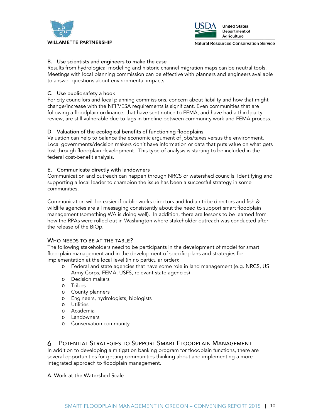



Natural Resources Conservation Service

#### B. Use scientists and engineers to make the case

Results from hydrological modeling and historic channel migration maps can be neutral tools. Meetings with local planning commission can be effective with planners and engineers available to answer questions about environmental impacts.

#### C. Use public safety a hook

For city councilors and local planning commissions, concern about liability and how that might change/increase with the NFIP/ESA requirements is significant. Even communities that are following a floodplain ordinance, that have sent notice to FEMA, and have had a third party review, are still vulnerable due to lags in timeline between community work and FEMA process.

#### D. Valuation of the ecological benefits of functioning floodplains

Valuation can help to balance the economic argument of jobs/taxes versus the environment. Local governments/decision makers don't have information or data that puts value on what gets lost through floodplain development. This type of analysis is starting to be included in the federal cost-benefit analysis.

#### E. Communicate directly with landowners

Communication and outreach can happen through NRCS or watershed councils. Identifying and supporting a local leader to champion the issue has been a successful strategy in some communities.

Communication will be easier if public works directors and Indian tribe directors and fish & wildlife agencies are all messaging consistently about the need to support smart floodplain management (something WA is doing well). In addition, there are lessons to be learned from how the RPAs were rolled out in Washington where stakeholder outreach was conducted after the release of the BiOp.

#### WHO NEEDS TO BE AT THE TABLE?

The following stakeholders need to be participants in the development of model for smart floodplain management and in the development of specific plans and strategies for implementation at the local level (in no particular order):

- o Federal and state agencies that have some role in land management (e.g. NRCS, US Army Corps, FEMA, USFS, relevant state agencies)
- o Decision makers
- o Tribes
- o County planners
- o Engineers, hydrologists, biologists
- o Utilities
- o Academia
- o Landowners
- o Conservation community

#### 6 POTENTIAL STRATEGIES TO SUPPORT SMART FLOODPLAIN MANAGEMENT

In addition to developing a mitigation banking program for floodplain functions, there are several opportunities for getting communities thinking about and implementing a more integrated approach to floodplain management.

#### A. Work at the Watershed Scale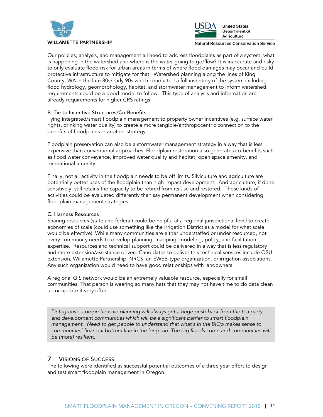



Natural Resources Conservation Service

Our policies, analysis, and management all need to address floodplains as part of a system; what is happening in the watershed and where is the water going to go/flow? It is inaccurate and risky to only evaluate flood risk for urban areas in terms of where flood damages may occur and build protective infrastructure to mitigate for that. Watershed planning along the lines of King County, WA in the late 80s/early 90s which conducted a full inventory of the system including flood hydrology, geomorphology, habitat, and stormwater management to inform watershed requirements could be a good model to follow. This type of analysis and information are already requirements for higher CRS ratings.

#### B. Tie to Incentive Structures/Co-Benefits

Tying integrated/smart floodplain management to property owner incentives (e.g. surface water rights, drinking water quality) to create a more tangible/anthropocentric connection to the benefits of floodplains in another strategy.

Floodplain preservation can also be a stormwater management strategy in a way that is less expensive than conventional approaches. Floodplain restoration also generates co-benefits such as flood water conveyance, improved water quality and habitat, open space amenity, and recreational amenity.

Finally, not all activity in the floodplain needs to be off limits. Silviculture and agriculture are potentially better uses of the floodplain than high impact development. And agriculture, if done sensitively, still retains the capacity to be retired from its use and restored. Those kinds of activities could be evaluated differently than say permanent development when considering floodplain management strategies.

#### C. Harness Resources

Sharing resources (state and federal) could be helpful at a regional jurisdictional level to create economies of scale (could use something like the Irrigation District as a model for what scale would be effective). While many communities are either understaffed or under resourced, not every community needs to develop planning, mapping, modeling, policy, and facilitation expertise. Resources and technical support could be delivered in a way that is less regulatory and more extension/assistance driven. Candidates to deliver this technical services include OSU extension, Willamette Partnership, NRCS, an EWEB-type organization, or irrigation associations. Any such organization would need to have good relationships with landowners.

A regional GIS network would be an extremely valuable resource, especially for small communities. That person is wearing so many hats that they may not have time to do data clean up or update it very often.

"*Integrative, comprehensive planning will always get a huge push-back from the tea party and development communities which will be a significant barrier to smart floodplain management. Need to get people to understand that what's in the BiOp makes sense to communities' financial bottom line in the long run. The big floods come and communities will be (more) resilient*."

#### 7 VISIONS OF SUCCESS

The following were identified as successful potential outcomes of a three year effort to design and test smart floodplain management in Oregon: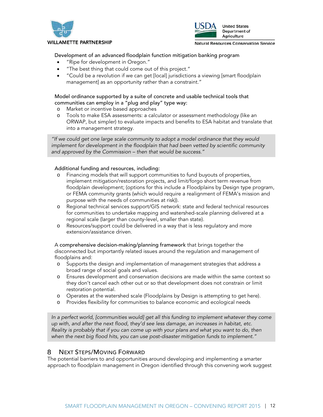

#### $\mathbf{r}$



**United States** Department of Agriculture

Natural Resources Conservation Service

#### Development of an advanced floodplain function mitigation banking program

- "Ripe for development in Oregon."
- "The best thing that could come out of this project."
- "Could be a revolution if we can get [local] jurisdictions a viewing [smart floodplain management] as an opportunity rather than a constraint."

#### Model ordinance supported by a suite of concrete and usable technical tools that communities can employ in a "plug and play" type way:

- o Market or incentive based approaches
- o Tools to make ESA assessments: a calculator or assessment methodology (like an ORWAP, but simpler) to evaluate impacts and benefits to ESA habitat and translate that into a management strategy.

*"If we could get one large scale community to adopt a model ordinance that they would implement for development in the floodplain that had been vetted by scientific community and approved by the Commission – then that would be success."*

#### Additional funding and resources, including:

- o Financing models that will support communities to fund buyouts of properties, implement mitigation/restoration projects, and limit/forgo short term revenue from floodplain development; (options for this include a Floodplains by Design type program, or FEMA community grants (which would require a realignment of FEMA's mission and purpose with the needs of communities at risk)).
- o Regional technical services support/GIS network: state and federal technical resources for communities to undertake mapping and watershed-scale planning delivered at a regional scale (larger than county-level, smaller than state).
- o Resources/support could be delivered in a way that is less regulatory and more extension/assistance driven.

A comprehensive decision-making/planning framework that brings together the disconnected but importantly related issues around the regulation and management of floodplains and:

- o Supports the design and implementation of management strategies that address a broad range of social goals and values.
- o Ensures development and conservation decisions are made within the same context so they don't cancel each other out or so that development does not constrain or limit restoration potential.
- o Operates at the watershed scale (Floodplains by Design is attempting to get here).
- o Provides flexibility for communities to balance economic and ecological needs

*In a perfect world, [communities would] get all this funding to implement whatever they come up with, and after the next flood, they'd see less damage, an increases in habitat, etc. Reality is probably that if you can come up with your plans and what you want to do, then when the next big flood hits, you can use post-disaster mitigation funds to implement."*

#### NEXT STEPS/MOVING FORWARD 8

The potential barriers to and opportunities around developing and implementing a smarter approach to floodplain management in Oregon identified through this convening work suggest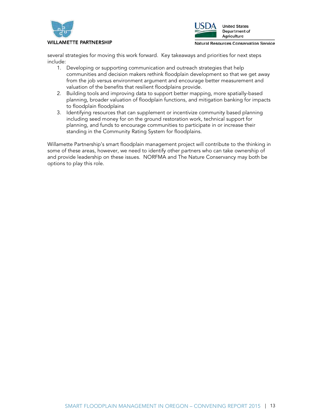



#### **WILLAMETTE PARTNERSHIP**

Natural Resources Conservation Service

several strategies for moving this work forward. Key takeaways and priorities for next steps include:

- 1. Developing or supporting communication and outreach strategies that help communities and decision makers rethink floodplain development so that we get away from the job versus environment argument and encourage better measurement and valuation of the benefits that resilient floodplains provide.
- 2. Building tools and improving data to support better mapping, more spatially-based planning, broader valuation of floodplain functions, and mitigation banking for impacts to floodplain floodplains
- 3. Identifying resources that can supplement or incentivize community based planning including seed money for on the ground restoration work, technical support for planning, and funds to encourage communities to participate in or increase their standing in the Community Rating System for floodplains.

Willamette Partnership's smart floodplain management project will contribute to the thinking in some of these areas, however, we need to identify other partners who can take ownership of and provide leadership on these issues. NORFMA and The Nature Conservancy may both be options to play this role.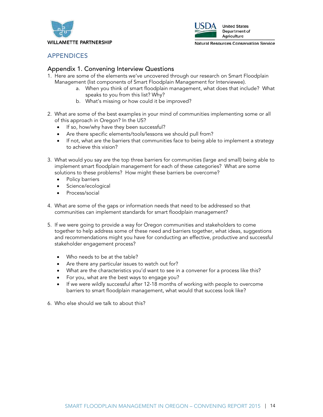



# APPENDICES

# Appendix 1. Convening Interview Questions

- 1. Here are some of the elements we've uncovered through our research on Smart Floodplain Management (list components of Smart Floodplain Management for Interviewee).
	- a. When you think of smart floodplain management, what does that include? What speaks to you from this list? Why?
	- b. What's missing or how could it be improved?
- 2. What are some of the best examples in your mind of communities implementing some or all of this approach in Oregon? In the US?
	- If so, how/why have they been successful?
	- Are there specific elements/tools/lessons we should pull from?
	- If not, what are the barriers that communities face to being able to implement a strategy to achieve this vision?
- 3. What would you say are the top three barriers for communities (large and small) being able to implement smart floodplain management for each of these categories? What are some solutions to these problems? How might these barriers be overcome?
	- Policy barriers
	- Science/ecological
	- Process/social

4. What are some of the gaps or information needs that need to be addressed so that communities can implement standards for smart floodplain management?

- 5. If we were going to provide a way for Oregon communities and stakeholders to come together to help address some of these need and barriers together, what ideas, suggestions and recommendations might you have for conducting an effective, productive and successful stakeholder engagement process?
	- Who needs to be at the table?
	- Are there any particular issues to watch out for?
	- What are the characteristics you'd want to see in a convener for a process like this?
	- For you, what are the best ways to engage you?
	- If we were wildly successful after 12-18 months of working with people to overcome barriers to smart floodplain management, what would that success look like?
- 6. Who else should we talk to about this?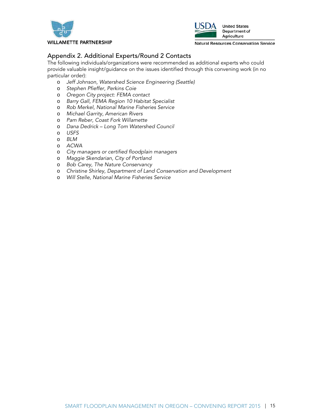



Natural Resources Conservation Service

# Appendix 2. Additional Experts/Round 2 Contacts

The following individuals/organizations were recommended as additional experts who could provide valuable insight/guidance on the issues identified through this convening work (in no particular order):

- o *Jeff Johnson, Watershed Science Engineering (Seattle)*
- o *Stephen Pfieffer, Perkins Coie*
- o *Oregon City project: FEMA contact*
- o *Barry Gall, FEMA Region 10 Habitat Specialist*
- o *Rob Merkel, National Marine Fisheries Service*
- o *Michael Garrity, American Rivers*
- o *Pam Reber, Coast Fork Willamette*
- o *Dana Dedrick Long Tom Watershed Council*
- o *USFS*
- o *BLM*
- o *ACWA*
- o *City managers or certified floodplain managers*
- o *Maggie Skendarian, City of Portland*
- o *Bob Carey, The Nature Conservancy*
- o *Christine Shirley, Department of Land Conservation and Development*
- o *Will Stelle, National Marine Fisheries Service*